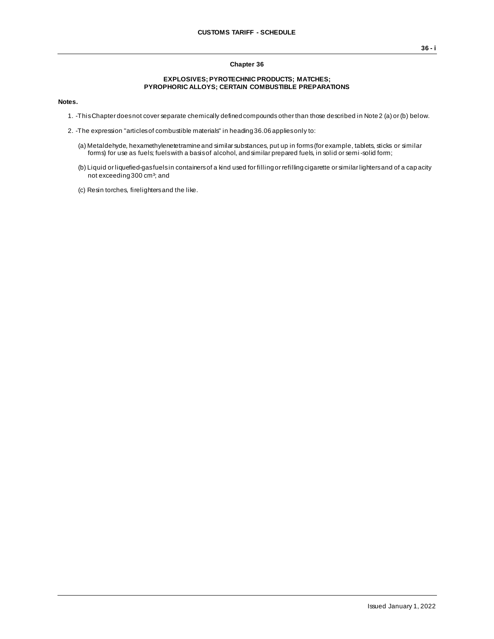## **Chapter 36**

## **EXPLOSIVES; PYROTECHNIC PRODUCTS; MATCHES; PYROPHORIC ALLOYS; CERTAIN COMBUSTIBLE PREPARATIONS**

**Notes.**

- 1. -This Chapter does not cover separate chemically defined compounds other than those described in Note 2 (a) or (b) below.
- 2. -The expression "articles of combustible materials" in heading 36.06 applies only to:
	- (a) Metaldehyde, hexamethylenetetramine and similar substances, put up in forms (for example, tablets, sticks or similar forms) for use as fuels; fuels with a basis of alcohol, and similar prepared fuels, in solid or semi -solid form;
	- (b) Liquid or liquefied-gas fuels in containers of a kind used for filling or refilling cigarette or similar lighters and of a cap acity not exceeding 300 cm<sup>3</sup>; and
	- (c) Resin torches, firelighters and the like.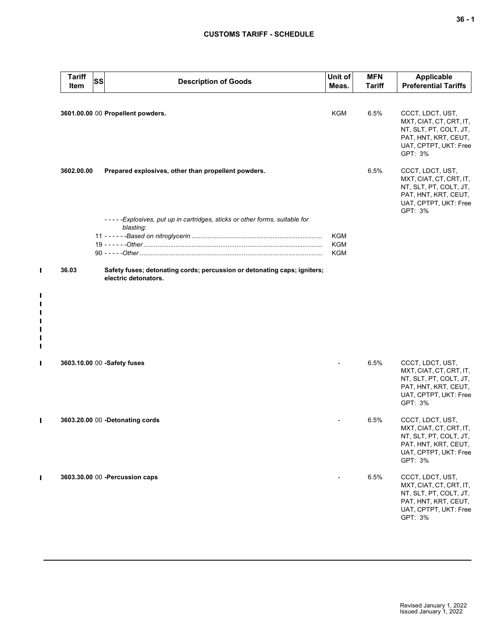## **CUSTOMS TARIFF - SCHEDULE**

| <b>Tariff</b><br>Item | <b>SS</b> | <b>Description of Goods</b>                                                                      | Unit of<br>Meas.  | <b>MFN</b><br><b>Tariff</b> | <b>Applicable</b><br><b>Preferential Tariffs</b>                                                                                  |
|-----------------------|-----------|--------------------------------------------------------------------------------------------------|-------------------|-----------------------------|-----------------------------------------------------------------------------------------------------------------------------------|
|                       |           | 3601.00.00 00 Propellent powders.                                                                | KGM               | 6.5%                        | CCCT, LDCT, UST,<br>MXT, CIAT, CT, CRT, IT,<br>NT, SLT, PT, COLT, JT,<br>PAT, HNT, KRT, CEUT,<br>UAT, CPTPT, UKT: Free<br>GPT: 3% |
| 3602.00.00            |           | Prepared explosives, other than propellent powders.                                              |                   | 6.5%                        | CCCT, LDCT, UST,<br>MXT, CIAT, CT, CRT, IT,<br>NT, SLT, PT, COLT, JT,<br>PAT, HNT, KRT, CEUT,<br>UAT, CPTPT, UKT: Free<br>GPT: 3% |
|                       |           | -----Explosives, put up in cartridges, sticks or other forms, suitable for                       |                   |                             |                                                                                                                                   |
|                       |           | blasting:                                                                                        | KGM<br>KGM<br>KGM |                             |                                                                                                                                   |
| 36.03                 |           | Safety fuses; detonating cords; percussion or detonating caps; igniters;<br>electric detonators. |                   |                             |                                                                                                                                   |
|                       |           |                                                                                                  |                   |                             |                                                                                                                                   |
|                       |           | 3603.10.00 00 -Safety fuses                                                                      |                   | 6.5%                        | CCCT, LDCT, UST,<br>MXT, CIAT, CT, CRT, IT,<br>NT, SLT, PT, COLT, JT,<br>PAT, HNT, KRT, CEUT,<br>UAT, CPTPT, UKT: Free<br>GPT: 3% |
|                       |           | 3603.20.00 00 -Detonating cords                                                                  |                   | 6.5%                        | CCCT, LDCT, UST,<br>MXT, CIAT, CT, CRT, IT,<br>NT, SLT, PT, COLT, JT,<br>PAT, HNT, KRT, CEUT,<br>UAT, CPTPT, UKT: Free<br>GPT: 3% |
|                       |           | 3603.30.00 00 - Percussion caps                                                                  |                   | 6.5%                        | CCCT, LDCT, UST,<br>MXT, CIAT, CT, CRT, IT,<br>NT, SLT, PT, COLT, JT,<br>PAT, HNT, KRT, CEUT,<br>UAT, CPTPT, UKT: Free<br>GPT: 3% |
|                       |           |                                                                                                  |                   |                             |                                                                                                                                   |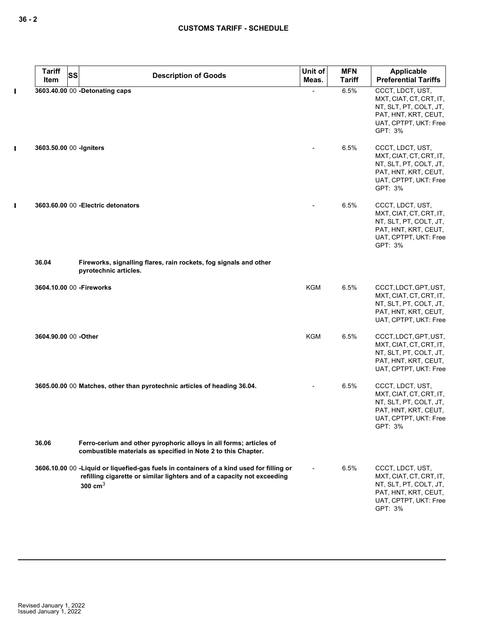$\mathbf I$ 

 $\mathbf{I}$ 

 $\mathbf I$ 

| <b>Tariff</b><br><b>SS</b> | <b>Description of Goods</b>                                                                                                                                                      | Unit of<br>Meas. | <b>MFN</b><br><b>Tariff</b> | Applicable<br><b>Preferential Tariffs</b>                                                                                         |
|----------------------------|----------------------------------------------------------------------------------------------------------------------------------------------------------------------------------|------------------|-----------------------------|-----------------------------------------------------------------------------------------------------------------------------------|
| Item                       |                                                                                                                                                                                  |                  |                             |                                                                                                                                   |
|                            | 3603.40.00 00 -Detonating caps                                                                                                                                                   |                  | 6.5%                        | CCCT, LDCT, UST,<br>MXT, CIAT, CT, CRT, IT,<br>NT, SLT, PT, COLT, JT,<br>PAT, HNT, KRT, CEUT,<br>UAT, CPTPT, UKT: Free<br>GPT: 3% |
| 3603.50.00 00 - Igniters   |                                                                                                                                                                                  |                  | 6.5%                        | CCCT, LDCT, UST,<br>MXT, CIAT, CT, CRT, IT,<br>NT, SLT, PT, COLT, JT,<br>PAT, HNT, KRT, CEUT,<br>UAT, CPTPT, UKT: Free<br>GPT: 3% |
|                            | 3603.60.00 00 - Electric detonators                                                                                                                                              |                  | 6.5%                        | CCCT, LDCT, UST,<br>MXT, CIAT, CT, CRT, IT,<br>NT, SLT, PT, COLT, JT,<br>PAT, HNT, KRT, CEUT,<br>UAT, CPTPT, UKT: Free<br>GPT: 3% |
| 36.04                      | Fireworks, signalling flares, rain rockets, fog signals and other<br>pyrotechnic articles.                                                                                       |                  |                             |                                                                                                                                   |
| 3604.10.00 00 - Fireworks  |                                                                                                                                                                                  | <b>KGM</b>       | 6.5%                        | CCCT, LDCT, GPT, UST,<br>MXT, CIAT, CT, CRT, IT,<br>NT, SLT, PT, COLT, JT,<br>PAT, HNT, KRT, CEUT,<br>UAT, CPTPT, UKT: Free       |
| 3604.90.00 00 -Other       |                                                                                                                                                                                  | <b>KGM</b>       | 6.5%                        | CCCT, LDCT, GPT, UST,<br>MXT, CIAT, CT, CRT, IT,<br>NT, SLT, PT, COLT, JT,<br>PAT, HNT, KRT, CEUT,<br>UAT, CPTPT, UKT: Free       |
|                            | 3605.00.00 00 Matches, other than pyrotechnic articles of heading 36.04.                                                                                                         |                  | 6.5%                        | CCCT, LDCT, UST,<br>MXT, CIAT, CT, CRT, IT,<br>NT, SLT, PT, COLT, JT,<br>PAT, HNT, KRT, CEUT,<br>UAT, CPTPT, UKT: Free<br>GPT: 3% |
| 36.06                      | Ferro-cerium and other pyrophoric alloys in all forms; articles of<br>combustible materials as specified in Note 2 to this Chapter.                                              |                  |                             |                                                                                                                                   |
|                            | 3606.10.00 00 -Liquid or liquefied-gas fuels in containers of a kind used for filling or<br>refilling cigarette or similar lighters and of a capacity not exceeding<br>300 $cm3$ |                  | 6.5%                        | CCCT, LDCT, UST,<br>MXT, CIAT, CT, CRT, IT,<br>NT, SLT, PT, COLT, JT,<br>PAT, HNT, KRT, CEUT,<br>UAT, CPTPT, UKT: Free<br>GPT: 3% |